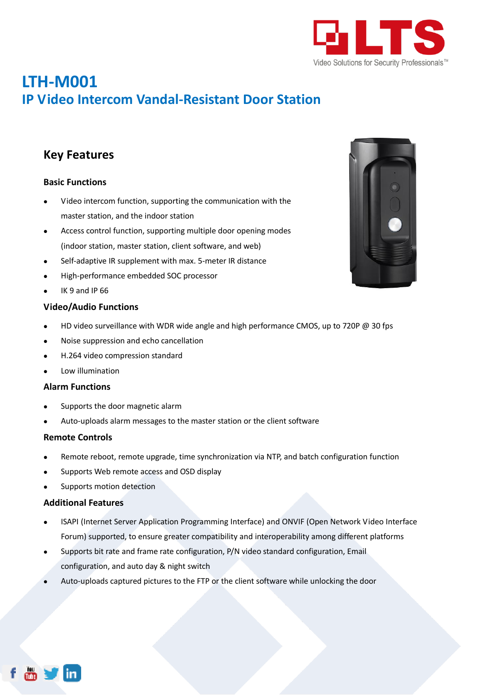

# **LTH-M001 IP Video Intercom Vandal-Resistant Door Station**

### **Key Features**

### **Basic Functions**

- Video intercom function, supporting the communication with the master station, and the indoor station
- Access control function, supporting multiple door opening modes (indoor station, master station, client software, and web)
- Self-adaptive IR supplement with max. 5-meter IR distance
- High-performance embedded SOC processor
- IK 9 and IP 66

### **Video/Audio Functions**

- HD video surveillance with WDR wide angle and high performance CMOS, up to 720P @ 30 fps
- Noise suppression and echo cancellation
- H.264 video compression standard
- Low illumination

#### **Alarm Functions**

- Supports the door magnetic alarm
- Auto-uploads alarm messages to the master station or the client software

#### **Remote Controls**

- Remote reboot, remote upgrade, time synchronization via NTP, and batch configuration function
- Supports Web remote access and OSD display
- Supports motion detection

#### **Additional Features**

- ISAPI (Internet Server Application Programming Interface) and ONVIF (Open Network Video Interface Forum) supported, to ensure greater compatibility and interoperability among different platforms
- Supports bit rate and frame rate configuration, P/N video standard configuration, Email configuration, and auto day & night switch
- Auto-uploads captured pictures to the FTP or the client software while unlocking the door



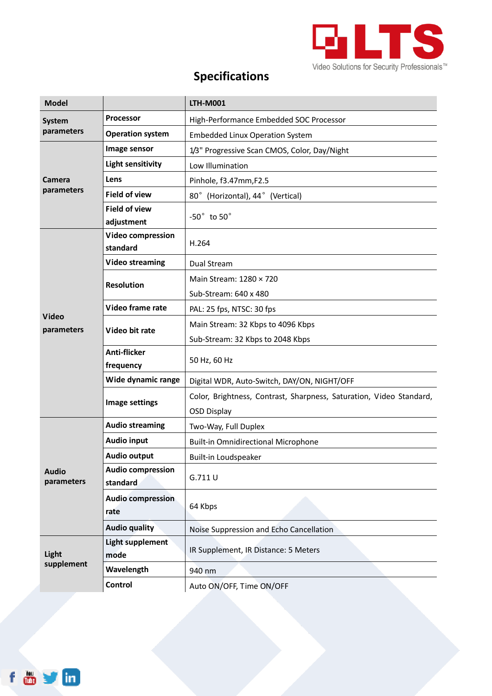

# **Specifications**

| <b>Model</b>                |                                      | <b>LTH-M001</b>                                                                           |
|-----------------------------|--------------------------------------|-------------------------------------------------------------------------------------------|
| <b>System</b><br>parameters | <b>Processor</b>                     | High-Performance Embedded SOC Processor                                                   |
|                             | <b>Operation system</b>              | <b>Embedded Linux Operation System</b>                                                    |
| Camera<br>parameters        | Image sensor                         | 1/3" Progressive Scan CMOS, Color, Day/Night                                              |
|                             | <b>Light sensitivity</b>             | Low Illumination                                                                          |
|                             | Lens                                 | Pinhole, f3.47mm, F2.5                                                                    |
|                             | <b>Field of view</b>                 | 80° (Horizontal), 44° (Vertical)                                                          |
|                             | <b>Field of view</b><br>adjustment   | $-50^\circ$ to $50^\circ$                                                                 |
|                             | <b>Video compression</b><br>standard | H.264                                                                                     |
|                             | <b>Video streaming</b>               | Dual Stream                                                                               |
|                             | <b>Resolution</b>                    | Main Stream: 1280 × 720<br>Sub-Stream: 640 x 480                                          |
|                             | Video frame rate                     | PAL: 25 fps, NTSC: 30 fps                                                                 |
| Video                       | Video bit rate                       | Main Stream: 32 Kbps to 4096 Kbps                                                         |
| parameters                  |                                      | Sub-Stream: 32 Kbps to 2048 Kbps                                                          |
|                             | <b>Anti-flicker</b><br>frequency     | 50 Hz, 60 Hz                                                                              |
|                             | Wide dynamic range                   | Digital WDR, Auto-Switch, DAY/ON, NIGHT/OFF                                               |
|                             | Image settings                       | Color, Brightness, Contrast, Sharpness, Saturation, Video Standard,<br><b>OSD Display</b> |
| <b>Audio</b><br>parameters  | <b>Audio streaming</b>               | Two-Way, Full Duplex                                                                      |
|                             | <b>Audio input</b>                   | <b>Built-in Omnidirectional Microphone</b>                                                |
|                             | Audio output                         | Built-in Loudspeaker                                                                      |
|                             | <b>Audio compression</b><br>standard | G.711U                                                                                    |
|                             | <b>Audio compression</b><br>rate     | 64 Kbps                                                                                   |
|                             | <b>Audio quality</b>                 | Noise Suppression and Echo Cancellation                                                   |
| Light<br>supplement         | <b>Light supplement</b><br>mode      | IR Supplement, IR Distance: 5 Meters                                                      |
|                             | Wavelength                           | 940 nm                                                                                    |
|                             | Control                              | Auto ON/OFF, Time ON/OFF                                                                  |

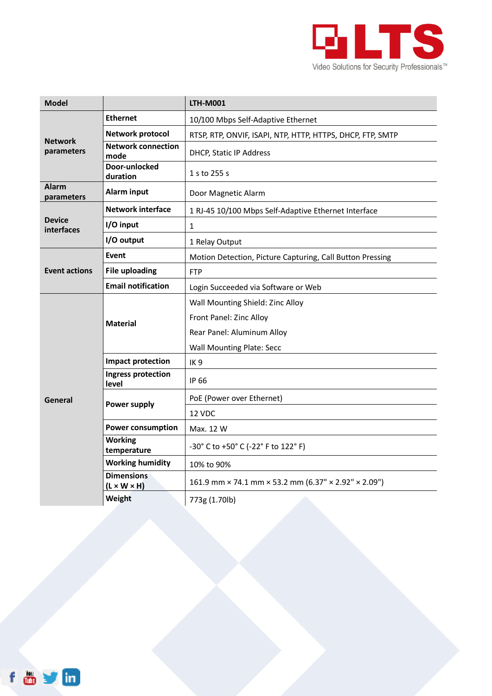

| <b>Model</b>                 |                                              | <b>LTH-M001</b>                                            |
|------------------------------|----------------------------------------------|------------------------------------------------------------|
| <b>Network</b><br>parameters | <b>Ethernet</b>                              | 10/100 Mbps Self-Adaptive Ethernet                         |
|                              | <b>Network protocol</b>                      | RTSP, RTP, ONVIF, ISAPI, NTP, HTTP, HTTPS, DHCP, FTP, SMTP |
|                              | <b>Network connection</b><br>mode            | DHCP, Static IP Address                                    |
|                              | Door-unlocked<br>duration                    | 1 s to 255 s                                               |
| <b>Alarm</b><br>parameters   | Alarm input                                  | Door Magnetic Alarm                                        |
| <b>Device</b><br>interfaces  | <b>Network interface</b>                     | 1 RJ-45 10/100 Mbps Self-Adaptive Ethernet Interface       |
|                              | I/O input                                    | 1                                                          |
|                              | I/O output                                   | 1 Relay Output                                             |
| <b>Event actions</b>         | <b>Event</b>                                 | Motion Detection, Picture Capturing, Call Button Pressing  |
|                              | <b>File uploading</b>                        | <b>FTP</b>                                                 |
|                              | <b>Email notification</b>                    | Login Succeeded via Software or Web                        |
|                              | <b>Material</b>                              | Wall Mounting Shield: Zinc Alloy                           |
|                              |                                              | Front Panel: Zinc Alloy                                    |
|                              |                                              | Rear Panel: Aluminum Alloy                                 |
|                              |                                              | <b>Wall Mounting Plate: Secc</b>                           |
| General                      | Impact protection                            | IK <sub>9</sub>                                            |
|                              | Ingress protection<br>level                  | IP 66                                                      |
|                              | <b>Power supply</b>                          | PoE (Power over Ethernet)                                  |
|                              |                                              | 12 VDC                                                     |
|                              | <b>Power consumption</b>                     | Max. 12 W                                                  |
|                              | <b>Working</b><br>temperature                | -30° C to +50° C (-22° F to 122° F)                        |
|                              | <b>Working humidity</b>                      | 10% to 90%                                                 |
|                              | <b>Dimensions</b><br>$(L \times W \times H)$ | 161.9 mm × 74.1 mm × 53.2 mm (6.37" × 2.92" × 2.09")       |
|                              | Weight                                       | 773g (1.70lb)                                              |